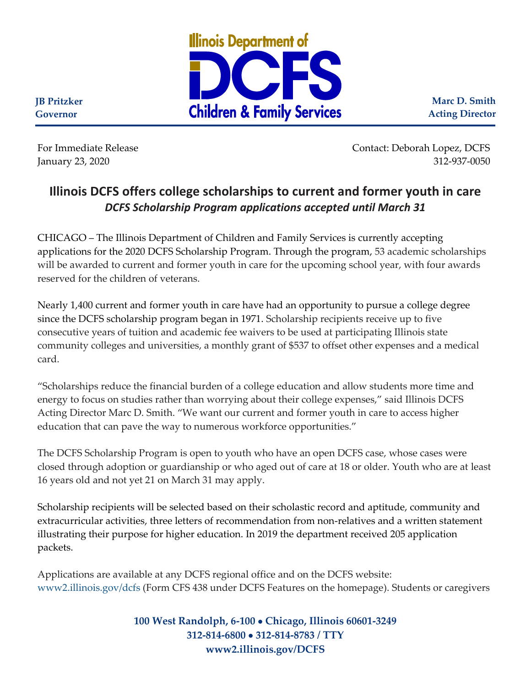

**Marc D. Smith Acting Director**

**Governor**

**JB Pritzker**

For Immediate Release Contact: Deborah Lopez, DCFS January 23, 2020 312-937-0050

## **Illinois DCFS offers college scholarships to current and former youth in care** *DCFS Scholarship Program applications accepted until March 31*

CHICAGO – The Illinois Department of Children and Family Services is currently accepting applications for the 2020 DCFS Scholarship Program. Through the program, 53 academic scholarships will be awarded to current and former youth in care for the upcoming school year, with four awards reserved for the children of veterans.

Nearly 1,400 current and former youth in care have had an opportunity to pursue a college degree since the DCFS scholarship program began in 1971. Scholarship recipients receive up to five consecutive years of tuition and academic fee waivers to be used at participating Illinois state community colleges and universities, a monthly grant of \$537 to offset other expenses and a medical card.

"Scholarships reduce the financial burden of a college education and allow students more time and energy to focus on studies rather than worrying about their college expenses," said Illinois DCFS Acting Director Marc D. Smith. "We want our current and former youth in care to access higher education that can pave the way to numerous workforce opportunities."

The DCFS Scholarship Program is open to youth who have an open DCFS case, whose cases were closed through adoption or guardianship or who aged out of care at 18 or older. Youth who are at least 16 years old and not yet 21 on March 31 may apply.

Scholarship recipients will be selected based on their scholastic record and aptitude, community and extracurricular activities, three letters of recommendation from non-relatives and a written statement illustrating their purpose for higher education. In 2019 the department received 205 application packets.

Applications are available at any DCFS regional office and on the DCFS website: [www2.illinois.gov/dcfs](https://www2.illinois.gov/dcfs/pages/default.aspx) (Form CFS 438 under DCFS Features on the homepage). Students or caregivers

> **100 West Randolph, 6-100** • **Chicago, Illinois 60601-3249 312-814-6800** • **312-814-8783 / TTY www2.illinois.gov/DCFS**